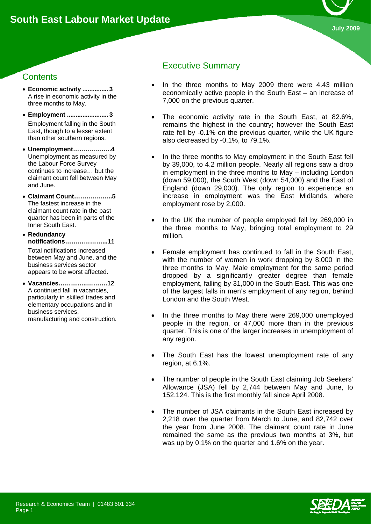

# **Contents**

- **Economic activity ............... 3**  A rise in economic activity in the three months to May.
- **Employment ........................ 3**  Employment falling in the South East, though to a lesser extent than other southern regions.
- **Unemployment…….….……..4**  Unemployment as measured by the Labour Force Survey continues to increase… but the claimant count fell between May and June.
- **Claimant Count…….….……..5**  The fastest increase in the claimant count rate in the past quarter has been in parts of the Inner South East.

• **Redundancy notifications………………...11** 

Total notifications increased between May and June, and the business services sector appears to be worst affected.

• **Vacancies…………..……….12**  A continued fall in vacancies, particularly in skilled trades and elementary occupations and in business services, manufacturing and construction.

# Executive Summary

- In the three months to May 2009 there were 4.43 million economically active people in the South East – an increase of 7,000 on the previous quarter.
- The economic activity rate in the South East, at 82.6%, remains the highest in the country; however the South East rate fell by -0.1% on the previous quarter, while the UK figure also decreased by -0.1%, to 79.1%.
- In the three months to May employment in the South East fell by 39,000, to 4.2 million people. Nearly all regions saw a drop in employment in the three months to May – including London (down 59,000), the South West (down 54,000) and the East of England (down 29,000). The only region to experience an increase in employment was the East Midlands, where employment rose by 2,000.
- In the UK the number of people employed fell by 269,000 in the three months to May, bringing total employment to 29 million.
- Female employment has continued to fall in the South East, with the number of women in work dropping by 8,000 in the three months to May. Male employment for the same period dropped by a significantly greater degree than female employment, falling by 31,000 in the South East. This was one of the largest falls in men's employment of any region, behind London and the South West.
- In the three months to May there were 269,000 unemployed people in the region, or 47,000 more than in the previous quarter. This is one of the larger increases in unemployment of any region.
- The South East has the lowest unemployment rate of any region, at 6.1%.
- The number of people in the South East claiming Job Seekers' Allowance (JSA) fell by 2,744 between May and June, to 152,124. This is the first monthly fall since April 2008.
- The number of JSA claimants in the South East increased by 2,218 over the quarter from March to June, and 82,742 over the year from June 2008. The claimant count rate in June remained the same as the previous two months at 3%, but was up by 0.1% on the quarter and 1.6% on the year.

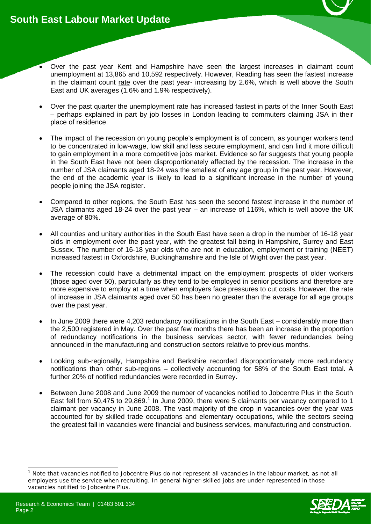- Over the past year Kent and Hampshire have seen the largest increases in claimant count unemployment at 13,865 and 10,592 respectively. However, Reading has seen the fastest increase in the claimant count rate over the past year- increasing by 2.6%, which is well above the South East and UK averages (1.6% and 1.9% respectively).
- Over the past quarter the unemployment rate has increased fastest in parts of the Inner South East – perhaps explained in part by job losses in London leading to commuters claiming JSA in their place of residence.
- The impact of the recession on young people's employment is of concern, as younger workers tend to be concentrated in low-wage, low skill and less secure employment, and can find it more difficult to gain employment in a more competitive jobs market. Evidence so far suggests that young people in the South East have not been disproportionately affected by the recession. The increase in the number of JSA claimants aged 18-24 was the smallest of any age group in the past year. However, the end of the academic year is likely to lead to a significant increase in the number of young people joining the JSA register.
- Compared to other regions, the South East has seen the second fastest increase in the number of JSA claimants aged 18-24 over the past year – an increase of 116%, which is well above the UK average of 80%.
- All counties and unitary authorities in the South East have seen a drop in the number of 16-18 year olds in employment over the past year, with the greatest fall being in Hampshire, Surrey and East Sussex. The number of 16-18 year olds who are not in education, employment or training (NEET) increased fastest in Oxfordshire, Buckinghamshire and the Isle of Wight over the past year.
- The recession could have a detrimental impact on the employment prospects of older workers (those aged over 50), particularly as they tend to be employed in senior positions and therefore are more expensive to employ at a time when employers face pressures to cut costs. However, the rate of increase in JSA claimants aged over 50 has been no greater than the average for all age groups over the past year.
- In June 2009 there were 4,203 redundancy notifications in the South East considerably more than the 2,500 registered in May. Over the past few months there has been an increase in the proportion of redundancy notifications in the business services sector, with fewer redundancies being announced in the manufacturing and construction sectors relative to previous months.
- Looking sub-regionally, Hampshire and Berkshire recorded disproportionately more redundancy notifications than other sub-regions – collectively accounting for 58% of the South East total. A further 20% of notified redundancies were recorded in Surrey.
- Between June 2008 and June 2009 the number of vacancies notified to Jobcentre Plus in the South East fell from 50,475 to 29,869.<sup>[1](#page-1-0)</sup> In June 2009, there were 5 claimants per vacancy compared to 1 claimant per vacancy in June 2008. The vast majority of the drop in vacancies over the year was accounted for by skilled trade occupations and elementary occupations, while the sectors seeing the greatest fall in vacancies were financial and business services, manufacturing and construction.

<span id="page-1-0"></span><sup>-</sup>1 Note that vacancies notified to Jobcentre Plus do not represent all vacancies in the labour market, as not all employers use the service when recruiting. In general higher-skilled jobs are under-represented in those vacancies notified to Jobcentre Plus.

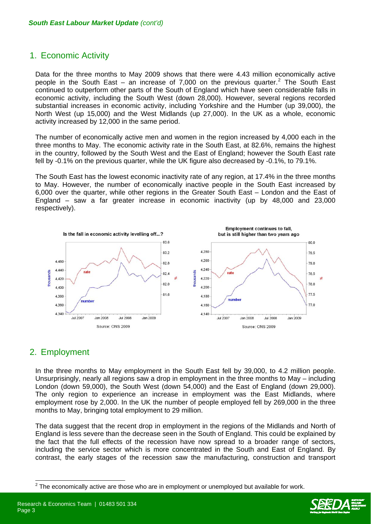# 1. Economic Activity

Data for the three months to May 2009 shows that there were 4.43 million economically active people in the South East – an increase of 7,000 on the previous quarter.<sup>[2](#page-2-0)</sup> The South East continued to outperform other parts of the South of England which have seen considerable falls in economic activity, including the South West (down 28,000). However, several regions recorded substantial increases in economic activity, including Yorkshire and the Humber (up 39,000), the North West (up 15,000) and the West Midlands (up 27,000). In the UK as a whole, economic activity increased by 12,000 in the same period.

The number of economically active men and women in the region increased by 4,000 each in the three months to May. The economic activity rate in the South East, at 82.6%, remains the highest in the country, followed by the South West and the East of England; however the South East rate fell by -0.1% on the previous quarter, while the UK figure also decreased by -0.1%, to 79.1%.

The South East has the lowest economic inactivity rate of any region, at 17.4% in the three months to May. However, the number of economically inactive people in the South East increased by 6,000 over the quarter, while other regions in the Greater South East – London and the East of England – saw a far greater increase in economic inactivity (up by 48,000 and 23,000 respectively).



# 2. Employment

In the three months to May employment in the South East fell by 39,000, to 4.2 million people. Unsurprisingly, nearly all regions saw a drop in employment in the three months to May – including London (down 59,000), the South West (down 54,000) and the East of England (down 29,000). The only region to experience an increase in employment was the East Midlands, where employment rose by 2,000. In the UK the number of people employed fell by 269,000 in the three months to May, bringing total employment to 29 million.

The data suggest that the recent drop in employment in the regions of the Midlands and North of England is less severe than the decrease seen in the South of England. This could be explained by the fact that the full effects of the recession have now spread to a broader range of sectors, including the service sector which is more concentrated in the South and East of England. By contrast, the early stages of the recession saw the manufacturing, construction and transport

<span id="page-2-0"></span> $2$  The economically active are those who are in employment or unemployed but available for work.

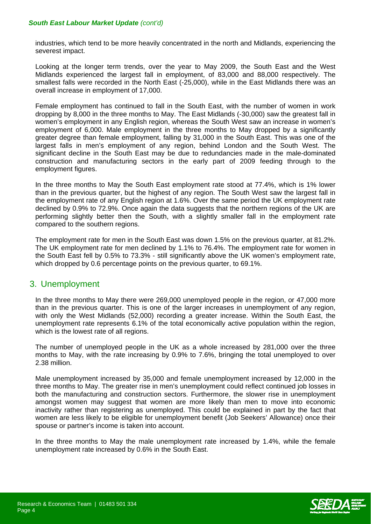industries, which tend to be more heavily concentrated in the north and Midlands, experiencing the severest impact.

Looking at the longer term trends, over the year to May 2009, the South East and the West Midlands experienced the largest fall in employment, of 83,000 and 88,000 respectively. The smallest falls were recorded in the North East (-25,000), while in the East Midlands there was an overall increase in employment of 17,000.

Female employment has continued to fall in the South East, with the number of women in work dropping by 8,000 in the three months to May. The East Midlands (-30,000) saw the greatest fall in women's employment in any English region, whereas the South West saw an increase in women's employment of 6,000. Male employment in the three months to May dropped by a significantly greater degree than female employment, falling by 31,000 in the South East. This was one of the largest falls in men's employment of any region, behind London and the South West. The significant decline in the South East may be due to redundancies made in the male-dominated construction and manufacturing sectors in the early part of 2009 feeding through to the employment figures.

In the three months to May the South East employment rate stood at 77.4%, which is 1% lower than in the previous quarter, but the highest of any region. The South West saw the largest fall in the employment rate of any English region at 1.6%. Over the same period the UK employment rate declined by 0.9% to 72.9%. Once again the data suggests that the northern regions of the UK are performing slightly better then the South, with a slightly smaller fall in the employment rate compared to the southern regions.

The employment rate for men in the South East was down 1.5% on the previous quarter, at 81.2%. The UK employment rate for men declined by 1.1% to 76.4%. The employment rate for women in the South East fell by 0.5% to 73.3% - still significantly above the UK women's employment rate, which dropped by 0.6 percentage points on the previous quarter, to 69.1%.

# 3. Unemployment

In the three months to May there were 269,000 unemployed people in the region, or 47,000 more than in the previous quarter. This is one of the larger increases in unemployment of any region, with only the West Midlands (52,000) recording a greater increase. Within the South East, the unemployment rate represents 6.1% of the total economically active population within the region, which is the lowest rate of all regions.

The number of unemployed people in the UK as a whole increased by 281,000 over the three months to May, with the rate increasing by 0.9% to 7.6%, bringing the total unemployed to over 2.38 million.

Male unemployment increased by 35,000 and female unemployment increased by 12,000 in the three months to May. The greater rise in men's unemployment could reflect continued job losses in both the manufacturing and construction sectors. Furthermore, the slower rise in unemployment amongst women may suggest that women are more likely than men to move into economic inactivity rather than registering as unemployed. This could be explained in part by the fact that women are less likely to be eligible for unemployment benefit (Job Seekers' Allowance) once their spouse or partner's income is taken into account.

In the three months to May the male unemployment rate increased by 1.4%, while the female unemployment rate increased by 0.6% in the South East.

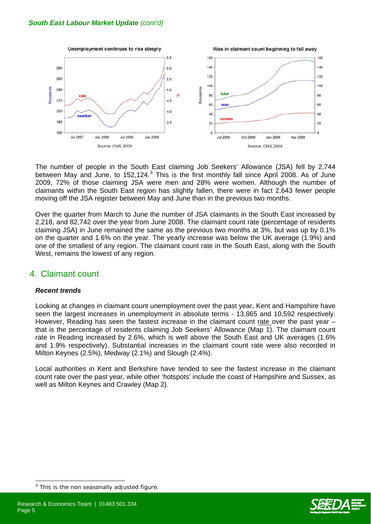

The number of people in the South East claiming Job Seekers' Allowance (JSA) fell by 2,744 between May and June, to 152,124. $3$  This is the first monthly fall since April 2008. As of June 2009, 72% of those claiming JSA were men and 28% were women. Although the number of claimants within the South East region has slightly fallen, there were in fact 2,643 fewer people moving off the JSA register between May and June than in the previous two months.

Over the quarter from March to June the number of JSA claimants in the South East increased by 2,218, and 82,742 over the year from June 2008. The claimant count rate (percentage of residents claiming JSA) in June remained the same as the previous two months at 3%, but was up by 0.1% on the quarter and 1.6% on the year. The yearly increase was below the UK average (1.9%) and one of the smallest of any region. The claimant count rate in the South East, along with the South West, remains the lowest of any region.

# 4. Claimant count

#### *Recent trends*

 $\overline{a}$ 

Looking at changes in claimant count unemployment over the past year, Kent and Hampshire have seen the largest increases in unemployment in absolute terms - 13,865 and 10,592 respectively. However, Reading has seen the fastest increase in the claimant count rate over the past year – that is the percentage of residents claiming Job Seekers' Allowance (Map 1). The claimant count rate in Reading increased by 2.6%, which is well above the South East and UK averages (1.6% and 1.9% respectively). Substantial increases in the claimant count rate were also recorded in Milton Keynes (2.5%), Medway (2.1%) and Slough (2.4%).

Local authorities in Kent and Berkshire have tended to see the fastest increase in the claimant count rate over the past year, while other 'hotspots' include the coast of Hampshire and Sussex, as well as Milton Keynes and Crawley (Map 2).



<span id="page-4-0"></span><sup>3</sup> This is the non seasonally adjusted figure.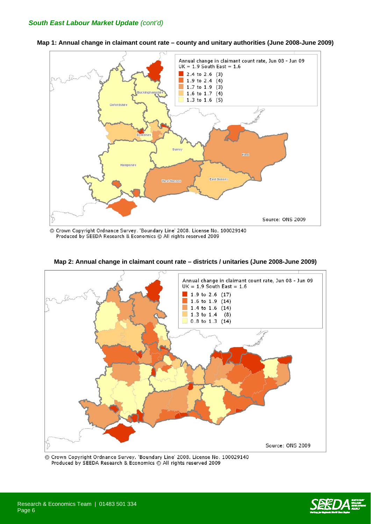

**Map 1: Annual change in claimant count rate – county and unitary authorities (June 2008-June 2009)**

© Crown Copyright Ordnance Survey. 'Boundary Line' 2008. License No. 100029140 Produced by SEEDA Research & Economics @ All rights reserved 2009



**Map 2: Annual change in claimant count rate – districts / unitaries (June 2008-June 2009)** 

© Crown Copyright Ordnance Survey. 'Boundary Line' 2008. License No. 100029140 Produced by SEEDA Research & Economics @ All rights reserved 2009

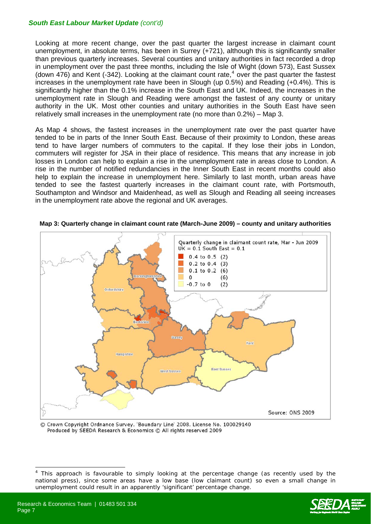Looking at more recent change, over the past quarter the largest increase in claimant count unemployment, in absolute terms, has been in Surrey (+721), although this is significantly smaller than previous quarterly increases. Several counties and unitary authorities in fact recorded a drop in unemployment over the past three months, including the Isle of Wight (down 573), East Sussex (down [4](#page-6-0)76) and Kent (-342). Looking at the claimant count rate,<sup>4</sup> over the past quarter the fastest increases in the unemployment rate have been in Slough (up 0.5%) and Reading (+0.4%). This is significantly higher than the 0.1% increase in the South East and UK. Indeed, the increases in the unemployment rate in Slough and Reading were amongst the fastest of any county or unitary authority in the UK. Most other counties and unitary authorities in the South East have seen relatively small increases in the unemployment rate (no more than 0.2%) – Map 3.

As Map 4 shows, the fastest increases in the unemployment rate over the past quarter have tended to be in parts of the Inner South East. Because of their proximity to London, these areas tend to have larger numbers of commuters to the capital. If they lose their jobs in London, commuters will register for JSA in their place of residence. This means that any increase in job losses in London can help to explain a rise in the unemployment rate in areas close to London. A rise in the number of notified redundancies in the Inner South East in recent months could also help to explain the increase in unemployment here. Similarly to last month, urban areas have tended to see the fastest quarterly increases in the claimant count rate, with Portsmouth, Southampton and Windsor and Maidenhead, as well as Slough and Reading all seeing increases in the unemployment rate above the regional and UK averages.



**Map 3: Quarterly change in claimant count rate (March-June 2009) – county and unitary authorities** 

C Crown Copyright Ordnance Survey. 'Boundary Line' 2008. License No. 100029140 Produced by SEEDA Research & Economics @ All rights reserved 2009



<span id="page-6-0"></span> $\frac{1}{4}$  This approach is favourable to simply looking at the percentage change (as recently used by the national press), since some areas have a low base (low claimant count) so even a small change in unemployment could result in an apparently 'significant' percentage change.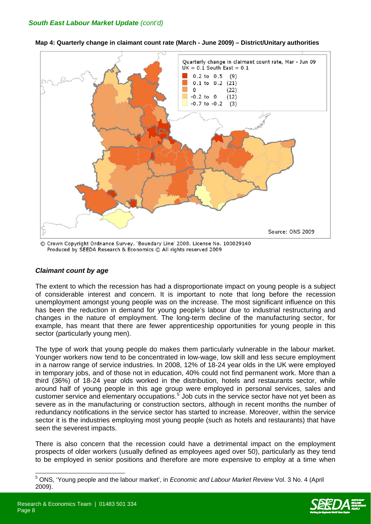

**Map 4: Quarterly change in claimant count rate (March - June 2009) – District/Unitary authorities**

C Crown Copyright Ordnance Survey. 'Boundary Line' 2008. License No. 100029140 Produced by SEEDA Research & Economics @ All rights reserved 2009

#### *Claimant count by age*

The extent to which the recession has had a disproportionate impact on young people is a subject of considerable interest and concern. It is important to note that long before the recession unemployment amongst young people was on the increase. The most significant influence on this has been the reduction in demand for young people's labour due to industrial restructuring and changes in the nature of employment. The long-term decline of the manufacturing sector, for example, has meant that there are fewer apprenticeship opportunities for young people in this sector (particularly young men).

The type of work that young people do makes them particularly vulnerable in the labour market. Younger workers now tend to be concentrated in low-wage, low skill and less secure employment in a narrow range of service industries. In 2008, 12% of 18-24 year olds in the UK were employed in temporary jobs, and of those not in education, 40% could not find permanent work. More than a third (36%) of 18-24 year olds worked in the distribution, hotels and restaurants sector, while around half of young people in this age group were employed in personal services, sales and customer service and elementary occupations.<sup>[5](#page-7-0)</sup> Job cuts in the service sector have not yet been as severe as in the manufacturing or construction sectors, although in recent months the number of redundancy notifications in the service sector has started to increase. Moreover, within the service sector it is the industries employing most young people (such as hotels and restaurants) that have seen the severest impacts.

There is also concern that the recession could have a detrimental impact on the employment prospects of older workers (usually defined as employees aged over 50), particularly as they tend to be employed in senior positions and therefore are more expensive to employ at a time when

<span id="page-7-0"></span><sup>5</sup> ONS, 'Young people and the labour market', in *Economic and Labour Market Review* Vol. 3 No. 4 (April 2009).

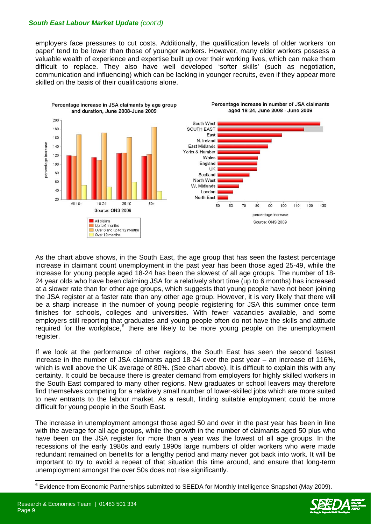employers face pressures to cut costs. Additionally, the qualification levels of older workers 'on paper' tend to be lower than those of younger workers. However, many older workers possess a valuable wealth of experience and expertise built up over their working lives, which can make them difficult to replace. They also have well developed 'softer skills' (such as negotiation, communication and influencing) which can be lacking in younger recruits, even if they appear more skilled on the basis of their qualifications alone.



As the chart above shows, in the South East, the age group that has seen the fastest percentage increase in claimant count unemployment in the past year has been those aged 25-49, while the increase for young people aged 18-24 has been the slowest of all age groups. The number of 18- 24 year olds who have been claiming JSA for a relatively short time (up to 6 months) has increased at a slower rate than for other age groups, which suggests that young people have not been joining the JSA register at a faster rate than any other age group. However, it is very likely that there will be a sharp increase in the number of young people registering for JSA this summer once term finishes for schools, colleges and universities. With fewer vacancies available, and some employers still reporting that graduates and young people often do not have the skills and attitude required for the workplace,<sup>[6](#page-8-0)</sup> there are likely to be more young people on the unemployment register.

If we look at the performance of other regions, the South East has seen the second fastest increase in the number of JSA claimants aged 18-24 over the past year – an increase of 116%, which is well above the UK average of 80%. (See chart above). It is difficult to explain this with any certainty. It could be because there is greater demand from employers for highly skilled workers in the South East compared to many other regions. New graduates or school leavers may therefore find themselves competing for a relatively small number of lower-skilled jobs which are more suited to new entrants to the labour market. As a result, finding suitable employment could be more difficult for young people in the South East.

The increase in unemployment amongst those aged 50 and over in the past year has been in line with the average for all age groups, while the growth in the number of claimants aged 50 plus who have been on the JSA register for more than a year was the lowest of all age groups. In the recessions of the early 1980s and early 1990s large numbers of older workers who were made redundant remained on benefits for a lengthy period and many never got back into work. It will be important to try to avoid a repeat of that situation this time around, and ensure that long-term unemployment amongst the over 50s does not rise significantly.



<span id="page-8-0"></span><sup>&</sup>lt;sup>6</sup> Evidence from Economic Partnerships submitted to SEEDA for Monthly Intelligence Snapshot (May 2009).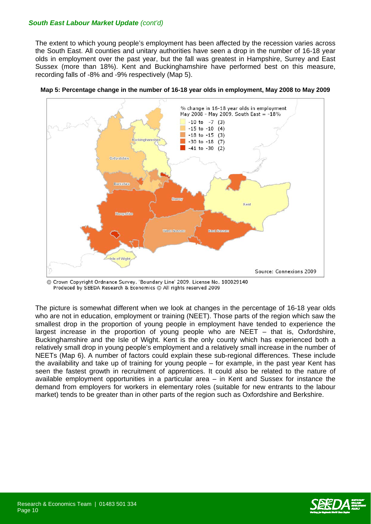The extent to which young people's employment has been affected by the recession varies across the South East. All counties and unitary authorities have seen a drop in the number of 16-18 year olds in employment over the past year, but the fall was greatest in Hampshire, Surrey and East Sussex (more than 18%). Kent and Buckinghamshire have performed best on this measure, recording falls of -8% and -9% respectively (Map 5).





© Crown Copyright Ordnance Survey. 'Boundary Line' 2009. License No. 100029140 Produced by SEEDA Research & Economics C All rights reserved 2009

The picture is somewhat different when we look at changes in the percentage of 16-18 year olds who are not in education, employment or training (NEET). Those parts of the region which saw the smallest drop in the proportion of young people in employment have tended to experience the largest increase in the proportion of young people who are NEET – that is, Oxfordshire, Buckinghamshire and the Isle of Wight. Kent is the only county which has experienced both a relatively small drop in young people's employment and a relatively small increase in the number of NEETs (Map 6). A number of factors could explain these sub-regional differences. These include the availability and take up of training for young people – for example, in the past year Kent has seen the fastest growth in recruitment of apprentices. It could also be related to the nature of available employment opportunities in a particular area – in Kent and Sussex for instance the demand from employers for workers in elementary roles (suitable for new entrants to the labour market) tends to be greater than in other parts of the region such as Oxfordshire and Berkshire.

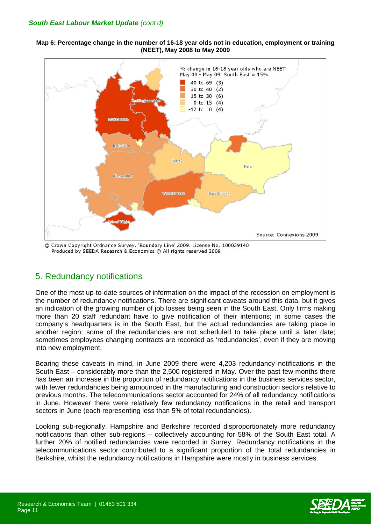**Map 6: Percentage change in the number of 16-18 year olds not in education, employment or training (NEET), May 2008 to May 2009** 



Crown Copyright Ordnance Survey. 'Boundary Line' 2009. License No. 100029140  $\odot$ Produced by SEEDA Research & Economics © All rights reserved 2009

# 5. Redundancy notifications

One of the most up-to-date sources of information on the impact of the recession on employment is the number of redundancy notifications. There are significant caveats around this data, but it gives an indication of the growing number of job losses being seen in the South East. Only firms making more than 20 staff redundant have to give notification of their intentions; in some cases the company's headquarters is in the South East, but the actual redundancies are taking place in another region; some of the redundancies are not scheduled to take place until a later date; sometimes employees changing contracts are recorded as 'redundancies', even if they are moving into new employment.

Bearing these caveats in mind, in June 2009 there were 4,203 redundancy notifications in the South East – considerably more than the 2,500 registered in May. Over the past few months there has been an increase in the proportion of redundancy notifications in the business services sector, with fewer redundancies being announced in the manufacturing and construction sectors relative to previous months. The telecommunications sector accounted for 24% of all redundancy notifications in June. However there were relatively few redundancy notifications in the retail and transport sectors in June (each representing less than 5% of total redundancies).

Looking sub-regionally, Hampshire and Berkshire recorded disproportionately more redundancy notifications than other sub-regions – collectively accounting for 58% of the South East total. A further 20% of notified redundancies were recorded in Surrey. Redundancy notifications in the telecommunications sector contributed to a significant proportion of the total redundancies in Berkshire, whilst the redundancy notifications in Hampshire were mostly in business services.